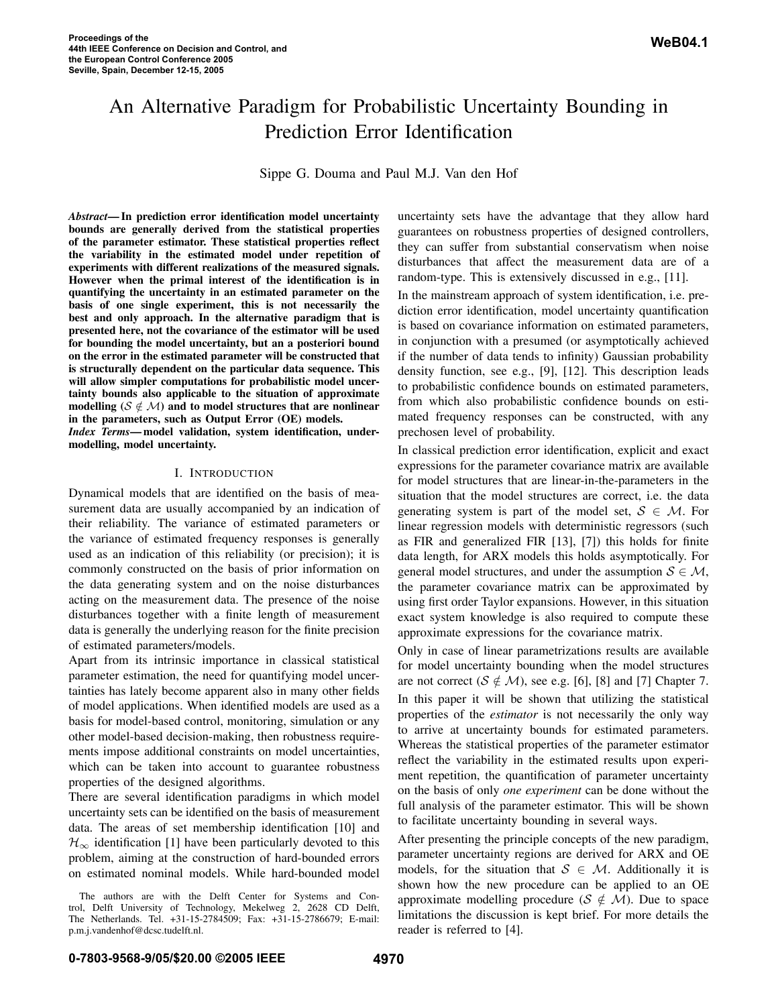# An Alternative Paradigm for Probabilistic Uncertainty Bounding in Prediction Error Identification

Sippe G. Douma and Paul M.J. Van den Hof

*Abstract***— In prediction error identification model uncertainty bounds are generally derived from the statistical properties of the parameter estimator. These statistical properties reflect the variability in the estimated model under repetition of experiments with different realizations of the measured signals. However when the primal interest of the identification is in quantifying the uncertainty in an estimated parameter on the basis of one single experiment, this is not necessarily the best and only approach. In the alternative paradigm that is presented here, not the covariance of the estimator will be used for bounding the model uncertainty, but an a posteriori bound on the error in the estimated parameter will be constructed that is structurally dependent on the particular data sequence. This will allow simpler computations for probabilistic model uncertainty bounds also applicable to the situation of approximate modelling** ( $S \notin M$ ) and to model structures that are nonlinear **in the parameters, such as Output Error (OE) models.** *Index Terms***— model validation, system identification, under-**

**modelling, model uncertainty.**

# I. INTRODUCTION

Dynamical models that are identified on the basis of measurement data are usually accompanied by an indication of their reliability. The variance of estimated parameters or the variance of estimated frequency responses is generally used as an indication of this reliability (or precision); it is commonly constructed on the basis of prior information on the data generating system and on the noise disturbances acting on the measurement data. The presence of the noise disturbances together with a finite length of measurement data is generally the underlying reason for the finite precision of estimated parameters/models.

Apart from its intrinsic importance in classical statistical parameter estimation, the need for quantifying model uncertainties has lately become apparent also in many other fields of model applications. When identified models are used as a basis for model-based control, monitoring, simulation or any other model-based decision-making, then robustness requirements impose additional constraints on model uncertainties, which can be taken into account to guarantee robustness properties of the designed algorithms.

There are several identification paradigms in which model uncertainty sets can be identified on the basis of measurement data. The areas of set membership identification [10] and  $\mathcal{H}_{\infty}$  identification [1] have been particularly devoted to this problem, aiming at the construction of hard-bounded errors on estimated nominal models. While hard-bounded model

The authors are with the Delft Center for Systems and Control, Delft University of Technology, Mekelweg 2, 2628 CD Delft, The Netherlands. Tel. +31-15-2784509; Fax: +31-15-2786679; E-mail: p.m.j.vandenhof@dcsc.tudelft.nl.

uncertainty sets have the advantage that they allow hard guarantees on robustness properties of designed controllers, they can suffer from substantial conservatism when noise disturbances that affect the measurement data are of a random-type. This is extensively discussed in e.g., [11].

In the mainstream approach of system identification, i.e. prediction error identification, model uncertainty quantification is based on covariance information on estimated parameters, in conjunction with a presumed (or asymptotically achieved if the number of data tends to infinity) Gaussian probability density function, see e.g., [9], [12]. This description leads to probabilistic confidence bounds on estimated parameters, from which also probabilistic confidence bounds on estimated frequency responses can be constructed, with any prechosen level of probability.

In classical prediction error identification, explicit and exact expressions for the parameter covariance matrix are available for model structures that are linear-in-the-parameters in the situation that the model structures are correct, i.e. the data generating system is part of the model set,  $S \in \mathcal{M}$ . For linear regression models with deterministic regressors (such as FIR and generalized FIR [13], [7]) this holds for finite data length, for ARX models this holds asymptotically. For general model structures, and under the assumption  $S \in \mathcal{M}$ , the parameter covariance matrix can be approximated by using first order Taylor expansions. However, in this situation exact system knowledge is also required to compute these approximate expressions for the covariance matrix.

Only in case of linear parametrizations results are available for model uncertainty bounding when the model structures are not correct ( $S \notin \mathcal{M}$ ), see e.g. [6], [8] and [7] Chapter 7. In this paper it will be shown that utilizing the statistical properties of the *estimator* is not necessarily the only way to arrive at uncertainty bounds for estimated parameters. Whereas the statistical properties of the parameter estimator reflect the variability in the estimated results upon experiment repetition, the quantification of parameter uncertainty on the basis of only *one experiment* can be done without the full analysis of the parameter estimator. This will be shown to facilitate uncertainty bounding in several ways.

After presenting the principle concepts of the new paradigm, parameter uncertainty regions are derived for ARX and OE models, for the situation that  $S \in M$ . Additionally it is shown how the new procedure can be applied to an OE approximate modelling procedure ( $S \notin M$ ). Due to space limitations the discussion is kept brief. For more details the reader is referred to [4].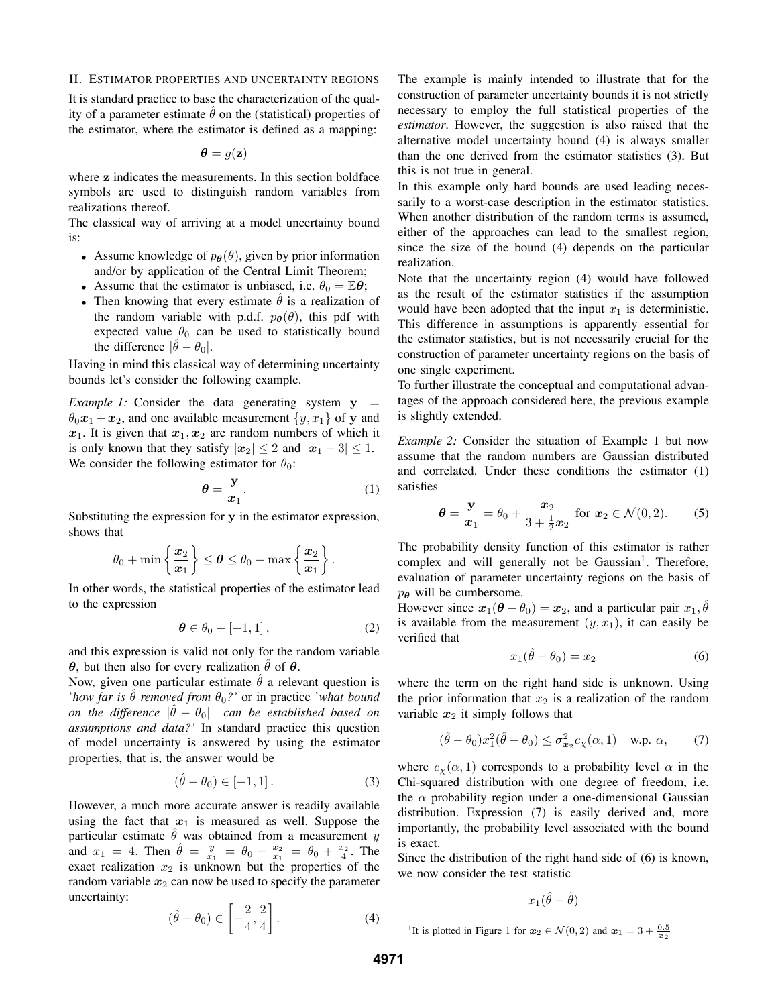### II. ESTIMATOR PROPERTIES AND UNCERTAINTY REGIONS

It is standard practice to base the characterization of the quality of a parameter estimate  $\hat{\theta}$  on the (statistical) properties of the estimator, where the estimator is defined as a mapping:

$$
\boldsymbol{\theta} = g(\mathbf{z})
$$

where **z** indicates the measurements. In this section boldface symbols are used to distinguish random variables from realizations thereof.

The classical way of arriving at a model uncertainty bound is:

- Assume knowledge of  $p_{\theta}(\theta)$ , given by prior information and/or by application of the Central Limit Theorem;
- Assume that the estimator is unbiased, i.e.  $\theta_0 = \mathbb{E}\theta$ ;
- Then knowing that every estimate  $\theta$  is a realization of the random variable with p.d.f.  $p_{\theta}(\theta)$ , this pdf with expected value  $\theta_0$  can be used to statistically bound the difference  $|\hat{\theta} - \theta_0|$ .

Having in mind this classical way of determining uncertainty bounds let's consider the following example.

*Example 1:* Consider the data generating system  $y =$  $\theta_0 x_1 + x_2$ , and one available measurement  $\{y, x_1\}$  of y and  $x_1$ . It is given that  $x_1, x_2$  are random numbers of which it is only known that they satisfy  $|x_2| \leq 2$  and  $|x_1 - 3| \leq 1$ . We consider the following estimator for  $\theta_0$ :

$$
\theta = \frac{y}{x_1}.\tag{1}
$$

Substituting the expression for **y** in the estimator expression, shows that

$$
\theta_0 + \min\left\{\frac{x_2}{x_1}\right\} \le \theta \le \theta_0 + \max\left\{\frac{x_2}{x_1}\right\}.
$$

In other words, the statistical properties of the estimator lead to the expression

$$
\boldsymbol{\theta} \in \theta_0 + [-1, 1], \tag{2}
$$

and this expression is valid not only for the random variable *θ*, but then also for every realization  $\hat{\theta}$  of *θ*.

Now, given one particular estimate  $\hat{\theta}$  a relevant question is 'how far is  $\hat{\theta}$  removed from  $\theta_0$ ?' or in practice 'what bound *on the difference*  $|\hat{\theta} - \theta_0|$  *can be established based on assumptions and data?'* In standard practice this question of model uncertainty is answered by using the estimator properties, that is, the answer would be

$$
(\hat{\theta} - \theta_0) \in [-1, 1]. \tag{3}
$$

However, a much more accurate answer is readily available using the fact that  $x_1$  is measured as well. Suppose the particular estimate  $\hat{\theta}$  was obtained from a measurement y and  $x_1 = 4$ . Then  $\hat{\theta} = \frac{y}{x_1} = \theta_0 + \frac{x_2}{x_1} = \theta_0 + \frac{x_2}{4}$ . The exact realization  $x_2$  is unknown but the properties of the random variable  $x_2$  can now be used to specify the parameter uncertainty:

$$
(\hat{\theta} - \theta_0) \in \left[ -\frac{2}{4}, \frac{2}{4} \right].
$$
 (4)

The example is mainly intended to illustrate that for the construction of parameter uncertainty bounds it is not strictly necessary to employ the full statistical properties of the *estimator*. However, the suggestion is also raised that the alternative model uncertainty bound (4) is always smaller than the one derived from the estimator statistics (3). But this is not true in general.

In this example only hard bounds are used leading necessarily to a worst-case description in the estimator statistics. When another distribution of the random terms is assumed, either of the approaches can lead to the smallest region, since the size of the bound (4) depends on the particular realization.

Note that the uncertainty region (4) would have followed as the result of the estimator statistics if the assumption would have been adopted that the input  $x_1$  is deterministic. This difference in assumptions is apparently essential for the estimator statistics, but is not necessarily crucial for the construction of parameter uncertainty regions on the basis of one single experiment.

To further illustrate the conceptual and computational advantages of the approach considered here, the previous example is slightly extended.

*Example 2:* Consider the situation of Example 1 but now assume that the random numbers are Gaussian distributed and correlated. Under these conditions the estimator (1) satisfies

$$
\theta = \frac{\mathbf{y}}{x_1} = \theta_0 + \frac{x_2}{3 + \frac{1}{2}x_2} \text{ for } x_2 \in \mathcal{N}(0, 2). \tag{5}
$$

The probability density function of this estimator is rather complex and will generally not be Gaussian<sup>1</sup>. Therefore, evaluation of parameter uncertainty regions on the basis of <sup>p</sup>*<sup>θ</sup>* will be cumbersome.

However since  $x_1(\theta - \theta_0) = x_2$ , and a particular pair  $x_1, \hat{\theta}$ is available from the measurement  $(y, x_1)$ , it can easily be verified that

$$
x_1(\hat{\theta} - \theta_0) = x_2 \tag{6}
$$

where the term on the right hand side is unknown. Using the prior information that  $x_2$  is a realization of the random variable  $x_2$  it simply follows that

$$
(\hat{\theta} - \theta_0)x_1^2(\hat{\theta} - \theta_0) \le \sigma_{\mathbf{x}_2}^2 c_\chi(\alpha, 1) \quad \text{w.p. } \alpha,\qquad(7)
$$

where  $c_y(\alpha, 1)$  corresponds to a probability level  $\alpha$  in the Chi-squared distribution with one degree of freedom, i.e. the  $\alpha$  probability region under a one-dimensional Gaussian distribution. Expression (7) is easily derived and, more importantly, the probability level associated with the bound is exact.

Since the distribution of the right hand side of (6) is known, we now consider the test statistic

$$
x_1(\hat{\theta}-\tilde{\theta})
$$

<sup>1</sup>It is plotted in Figure 1 for  $x_2 \in \mathcal{N}(0, 2)$  and  $x_1 = 3 + \frac{0.5}{x_2}$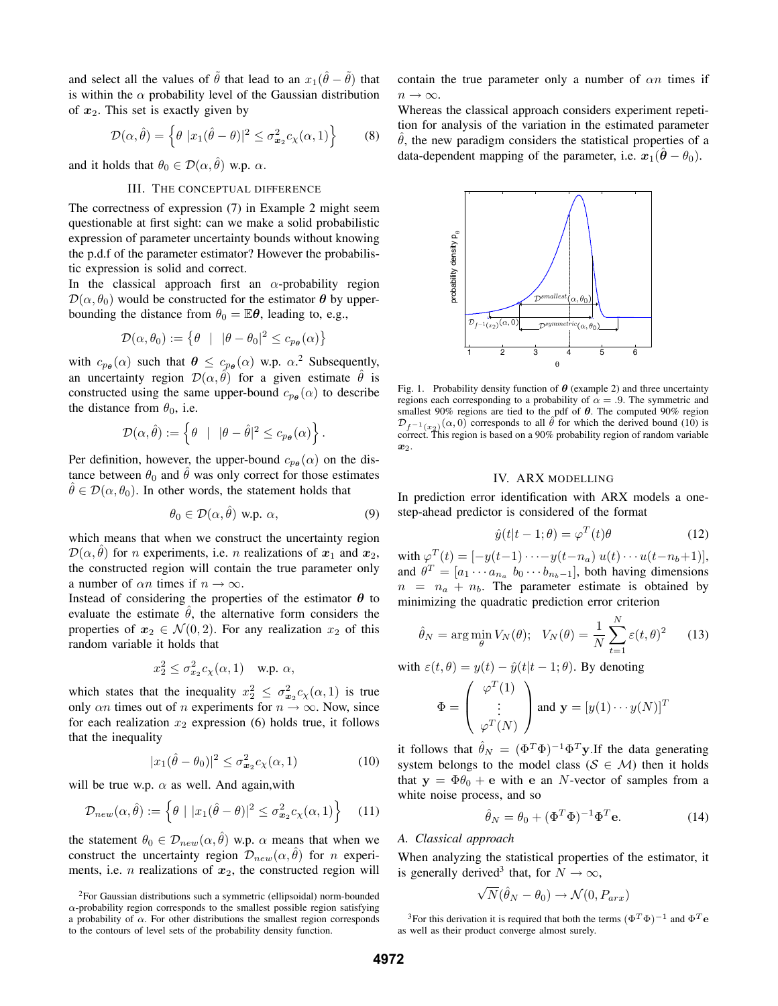and select all the values of  $\tilde{\theta}$  that lead to an  $x_1(\hat{\theta} - \tilde{\theta})$  that is within the  $\alpha$  probability level of the Gaussian distribution of  $x_2$ . This set is exactly given by

$$
\mathcal{D}(\alpha, \hat{\theta}) = \left\{ \theta \, |x_1(\hat{\theta} - \theta)|^2 \le \sigma_{\bm{x}_2}^2 c_\chi(\alpha, 1) \right\} \tag{8}
$$

and it holds that  $\theta_0 \in \mathcal{D}(\alpha, \hat{\theta})$  w.p.  $\alpha$ .

# III. THE CONCEPTUAL DIFFERENCE

The correctness of expression (7) in Example 2 might seem questionable at first sight: can we make a solid probabilistic expression of parameter uncertainty bounds without knowing the p.d.f of the parameter estimator? However the probabilistic expression is solid and correct.

In the classical approach first an  $\alpha$ -probability region  $\mathcal{D}(\alpha, \theta_0)$  would be constructed for the estimator  $\theta$  by upperbounding the distance from  $\theta_0 = \mathbb{E}\theta$ , leading to, e.g.,

$$
\mathcal{D}(\alpha,\theta_0) := \left\{ \theta \mid |\theta - \theta_0|^2 \le c_{p_{\theta}}(\alpha) \right\}
$$

with  $c_{p_{\theta}}(\alpha)$  such that  $\theta \leq c_{p_{\theta}}(\alpha)$  w.p.  $\alpha$ <sup>2</sup> Subsequently, an uncertainty region  $\mathcal{D}(\alpha, \hat{\theta})$  for a given estimate  $\hat{\theta}$  is constructed using the same upper-bound  $c_{p_{\theta}}(\alpha)$  to describe the distance from  $\theta_0$ , i.e.

$$
\mathcal{D}(\alpha, \hat{\theta}) := \left\{ \theta \mid |\theta - \hat{\theta}|^2 \leq c_{p_{\theta}}(\alpha) \right\}.
$$

Per definition, however, the upper-bound  $c_{p\theta}(\alpha)$  on the distance between  $\theta_0$  and  $\hat{\theta}$  was only correct for those estimates  $\hat{\theta} \in \mathcal{D}(\alpha, \theta_0)$ . In other words, the statement holds that

$$
\theta_0 \in \mathcal{D}(\alpha, \hat{\theta}) \text{ w.p. } \alpha,
$$
 (9)

which means that when we construct the uncertainty region  $\mathcal{D}(\alpha, \hat{\theta})$  for *n* experiments, i.e. *n* realizations of  $x_1$  and  $x_2$ , the constructed region will contain the true parameter only a number of  $\alpha n$  times if  $n \to \infty$ .

Instead of considering the properties of the estimator  $\theta$  to evaluate the estimate  $\hat{\theta}$ , the alternative form considers the properties of  $x_2 \in \mathcal{N}(0, 2)$ . For any realization  $x_2$  of this random variable it holds that

$$
x_2^2 \le \sigma_{x_2}^2 c_\chi(\alpha, 1) \quad \text{w.p. } \alpha,
$$

which states that the inequality  $x_2^2 \leq \sigma_{\infty}^2 c_\chi(\alpha, 1)$  is true<br>only on times out of *n* experiments for  $n \to \infty$ . Now since only  $\alpha n$  times out of n experiments for  $n \to \infty$ . Now, since for each realization  $x_2$  expression (6) holds true, it follows that the inequality

$$
|x_1(\hat{\theta} - \theta_0)|^2 \le \sigma_{\bm{x}_2}^2 c_\chi(\alpha, 1) \tag{10}
$$

will be true w.p.  $\alpha$  as well. And again, with

$$
\mathcal{D}_{new}(\alpha, \hat{\theta}) := \left\{ \theta \mid |x_1(\hat{\theta} - \theta)|^2 \le \sigma_{\mathbf{x}_2}^2 c_\chi(\alpha, 1) \right\} \tag{11}
$$

the statement  $\theta_0 \in \mathcal{D}_{new}(\alpha, \hat{\theta})$  w.p.  $\alpha$  means that when we construct the uncertainty region  $\mathcal{D}_{new}(\alpha, \theta)$  for n experiments, i.e. *n* realizations of  $x_2$ , the constructed region will contain the true parameter only a number of  $\alpha n$  times if  $n \to \infty$ .

Whereas the classical approach considers experiment repetition for analysis of the variation in the estimated parameter  $\theta$ , the new paradigm considers the statistical properties of a data-dependent mapping of the parameter, i.e.  $x_1(\theta - \theta_0)$ .



Fig. 1. Probability density function of *θ* (example 2) and three uncertainty regions each corresponding to a probability of  $\alpha = .9$ . The symmetric and smallest 90% regions are tied to the pdf of *θ*. The computed 90% region  $\mathcal{D}_{f^{-1}(x_2)}(\alpha, 0)$  corresponds to all  $\hat{\theta}$  for which the derived bound (10) is correct. This region is based on a 90% probability region of random variable *x*2.

#### IV. ARX MODELLING

In prediction error identification with ARX models a onestep-ahead predictor is considered of the format

$$
\hat{y}(t|t-1;\theta) = \varphi^{T}(t)\theta
$$
\n(12)

with  $\varphi^{T}(t)=[-y(t-1)\cdots-y(t-n_{a}) u(t)\cdots u(t-n_{b}+1)],$ and  $\theta^T = [a_1 \cdots a_{n_a} \; b_0 \cdots b_{n_b-1}]$ , both having dimensions  $n = n_a + n_b$ . The parameter estimate is obtained by minimizing the quadratic prediction error criterion

$$
\hat{\theta}_N = \arg\min_{\theta} V_N(\theta); \quad V_N(\theta) = \frac{1}{N} \sum_{t=1}^N \varepsilon(t, \theta)^2 \qquad (13)
$$

with  $\varepsilon(t, \theta) = y(t) - \hat{y}(t|t-1; \theta)$ . By denoting  $\left( \begin{array}{c} \varphi^T(1) \end{array} \right)$ 

$$
\Phi = \left( \begin{array}{c} \mathcal{F}^{(1)} \\ \vdots \\ \mathcal{F}^{(N)} \end{array} \right) \text{ and } \mathbf{y} = [y(1) \cdots y(N)]^T
$$

it follows that  $\hat{\theta}_N = (\Phi^T \Phi)^{-1} \Phi^T \mathbf{y}$ . If the data generating system belongs to the model class ( $S \in \mathcal{M}$ ) then it holds that  $y = \Phi \theta_0 + e$  with e an N-vector of samples from a white noise process, and so

$$
\hat{\theta}_N = \theta_0 + (\Phi^T \Phi)^{-1} \Phi^T \mathbf{e}.
$$
 (14)

# *A. Classical approach*

When analyzing the statistical properties of the estimator, it is generally derived<sup>3</sup> that, for  $N \to \infty$ ,

$$
\sqrt{N}(\hat{\theta}_N - \theta_0) \to \mathcal{N}(0, P_{arx})
$$

<sup>2</sup>For Gaussian distributions such a symmetric (ellipsoidal) norm-bounded  $\alpha$ -probability region corresponds to the smallest possible region satisfying a probability of  $\alpha$ . For other distributions the smallest region corresponds to the contours of level sets of the probability density function.

<sup>&</sup>lt;sup>3</sup>For this derivation it is required that both the terms  $(\Phi^T \Phi)^{-1}$  and  $\Phi^T \mathbf{e}$ as well as their product converge almost surely.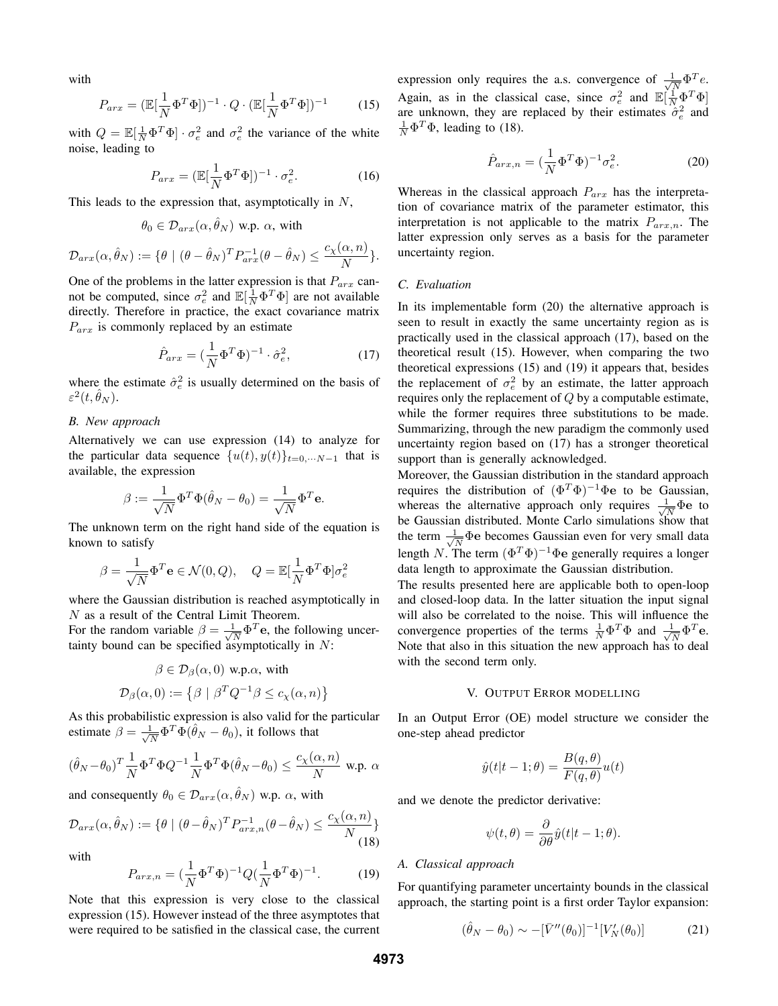with

$$
P_{arx} = (\mathbb{E}[\frac{1}{N}\Phi^T\Phi])^{-1} \cdot Q \cdot (\mathbb{E}[\frac{1}{N}\Phi^T\Phi])^{-1}
$$
 (15)

with  $Q = \mathbb{E}[\frac{1}{N}\Phi^T\Phi] \cdot \sigma_e^2$  and  $\sigma_e^2$  the variance of the white noise, leading to

$$
P_{arx} = (\mathbb{E}[\frac{1}{N}\Phi^T\Phi])^{-1} \cdot \sigma_e^2.
$$
 (16)

This leads to the expression that, asymptotically in  $N$ ,

$$
\theta_0 \in \mathcal{D}_{arx}(\alpha, \hat{\theta}_N)
$$
 w.p.  $\alpha$ , with

$$
\mathcal{D}_{arx}(\alpha, \hat{\theta}_N) := \{ \theta \mid (\theta - \hat{\theta}_N)^T P_{arx}^{-1} (\theta - \hat{\theta}_N) \le \frac{c_\chi(\alpha, n)}{N} \}.
$$
  
One of the problems in the letter expression is that  $P_{\text{max}}$ 

One of the problems in the latter expression is that  $P_{arx}$  can-<br>not be computed, since  $\sigma^2$  and  $\mathbb{F}[\pm \Phi^T \Phi]$  are not available not be computed, since  $\sigma_e^2$  and  $\mathbb{E}[\frac{1}{N}\Phi^T\Phi]$  are not available<br>directly. Therefore in practice, the exact covariance matrix directly. Therefore in practice, the exact covariance matrix  $P_{arx}$  is commonly replaced by an estimate

$$
\hat{P}_{arx} = \left(\frac{1}{N}\Phi^T\Phi\right)^{-1} \cdot \hat{\sigma}_e^2,\tag{17}
$$

where the estimate  $\hat{\sigma}_e^2$  is usually determined on the basis of  $\varepsilon^2(t,\hat{\theta}_N)$ .

## *B. New approach*

Alternatively we can use expression (14) to analyze for the particular data sequence  $\{u(t), y(t)\}_{t=0,\dots,N-1}$  that is available, the expression

$$
\beta := \frac{1}{\sqrt{N}} \Phi^T \Phi(\hat{\theta}_N - \theta_0) = \frac{1}{\sqrt{N}} \Phi^T \mathbf{e}.
$$

The unknown term on the right hand side of the equation is known to satisfy

$$
\beta = \frac{1}{\sqrt{N}} \Phi^T \mathbf{e} \in \mathcal{N}(0, Q), \quad Q = \mathbb{E}[\frac{1}{N} \Phi^T \Phi] \sigma_e^2
$$

where the Gaussian distribution is reached asymptotically in N as a result of the Central Limit Theorem.

For the random variable  $\beta = \frac{1}{\sqrt{N}} \Phi^T \mathbf{e}$ , the following uncertainty bound can be specified asymptotically in N. tainty bound can be specified asymptotically in  $N$ :

$$
\beta \in \mathcal{D}_{\beta}(\alpha, 0) \text{ w.p.}\alpha, \text{ with}
$$

$$
\mathcal{D}_{\beta}(\alpha, 0) := \{ \beta \mid \beta^T Q^{-1} \beta \le c_{\chi}(\alpha, n) \}
$$

As this probabilistic expression is also valid for the particular estimate  $\beta = \frac{1}{\sqrt{N}} \Phi^T \Phi(\hat{\theta}_N - \theta_0)$ , it follows that

$$
(\hat{\theta}_N - \theta_0)^T \frac{1}{N} \Phi^T \Phi Q^{-1} \frac{1}{N} \Phi^T \Phi (\hat{\theta}_N - \theta_0) \le \frac{c_\chi(\alpha, n)}{N} \text{ w.p. } \alpha
$$

and consequently  $\theta_0 \in \mathcal{D}_{arx}(\alpha, \hat{\theta}_N)$  w.p.  $\alpha$ , with

$$
\mathcal{D}_{arx}(\alpha, \hat{\theta}_N) := \{ \theta \mid (\theta - \hat{\theta}_N)^T P_{arx,n}^{-1} (\theta - \hat{\theta}_N) \le \frac{c_\chi(\alpha, n)}{N} \}
$$
(18)

with

$$
P_{arr,n} = (\frac{1}{N} \Phi^T \Phi)^{-1} Q (\frac{1}{N} \Phi^T \Phi)^{-1}.
$$
 (19)

N N Note that this expression is very close to the classical expression (15). However instead of the three asymptotes that were required to be satisfied in the classical case, the current expression only requires the a.s. convergence of  $\frac{1}{\sqrt{N}}\Phi^T e$ . Again, as in the classical case, since  $\sigma_e^2$  and  $\mathbb{E}[\frac{1}{N}\Phi^T\Phi]$ <br>are unknown they are replaced by their estimates  $\hat{\sigma}_e^2$  and are unknown, they are replaced by their estimates  $\hat{\sigma}_e^2$  and  $\pm \hat{\sigma}^T \hat{\sigma}$  leading to (18)  $\frac{1}{N} \Phi^T \Phi$ , leading to (18).

$$
\hat{P}_{arx,n} = \left(\frac{1}{N}\Phi^T\Phi\right)^{-1}\sigma_e^2.
$$
\n(20)

Whereas in the classical approach  $P_{\text{ar}x}$  has the interpretation of covariance matrix of the parameter estimator, this interpretation is not applicable to the matrix  $P_{arx,n}$ . The latter expression only serves as a basis for the parameter uncertainty region.

## *C. Evaluation*

In its implementable form (20) the alternative approach is seen to result in exactly the same uncertainty region as is practically used in the classical approach (17), based on the theoretical result (15). However, when comparing the two theoretical expressions (15) and (19) it appears that, besides the replacement of  $\sigma_e^2$  by an estimate, the latter approach<br>requires only the replacement of O by a computable estimate requires only the replacement of  $Q$  by a computable estimate, while the former requires three substitutions to be made. Summarizing, through the new paradigm the commonly used uncertainty region based on (17) has a stronger theoretical support than is generally acknowledged.

Moreover, the Gaussian distribution in the standard approach requires the distribution of  $(\Phi^T \Phi)^{-1} \Phi$ **e** to be Gaussian, whereas the alternative approach only requires  $\frac{1}{\sqrt{N}}\Phi$ **e** to be Gaussian distributed. Monte Carlo simulations show that be Gaussian distributed. Monte Carlo simulations show that the term  $\frac{1}{\sqrt{N}}\Phi$  becomes Gaussian even for very small data<br>langth  $N$  The term  $(\pi^T\pi)^{-1}\Phi$ , generally genuing a langua length N. The term  $(\Phi^T \Phi)^{-1} \Phi$ **e** generally requires a longer data length to approximate the Gaussian distribution.

The results presented here are applicable both to open-loop and closed-loop data. In the latter situation the input signal will also be correlated to the noise. This will influence the convergence properties of the terms  $\frac{1}{N}\Phi^T\Phi$  and  $\frac{1}{\sqrt{N}}\Phi^T\mathbf{e}$ .<br>Note that also in this situation the new approach has to deal Note that also in this situation the new approach has to deal with the second term only.

#### V. OUTPUT ERROR MODELLING

In an Output Error (OE) model structure we consider the one-step ahead predictor

$$
\hat{y}(t|t-1;\theta) = \frac{B(q,\theta)}{F(q,\theta)}u(t)
$$

and we denote the predictor derivative:

$$
\psi(t,\theta) = \frac{\partial}{\partial \theta} \hat{y}(t|t-1;\theta).
$$

## *A. Classical approach*

For quantifying parameter uncertainty bounds in the classical approach, the starting point is a first order Taylor expansion:

$$
(\hat{\theta}_N - \theta_0) \sim -[\bar{V}''(\theta_0)]^{-1}[V_N'(\theta_0)] \tag{21}
$$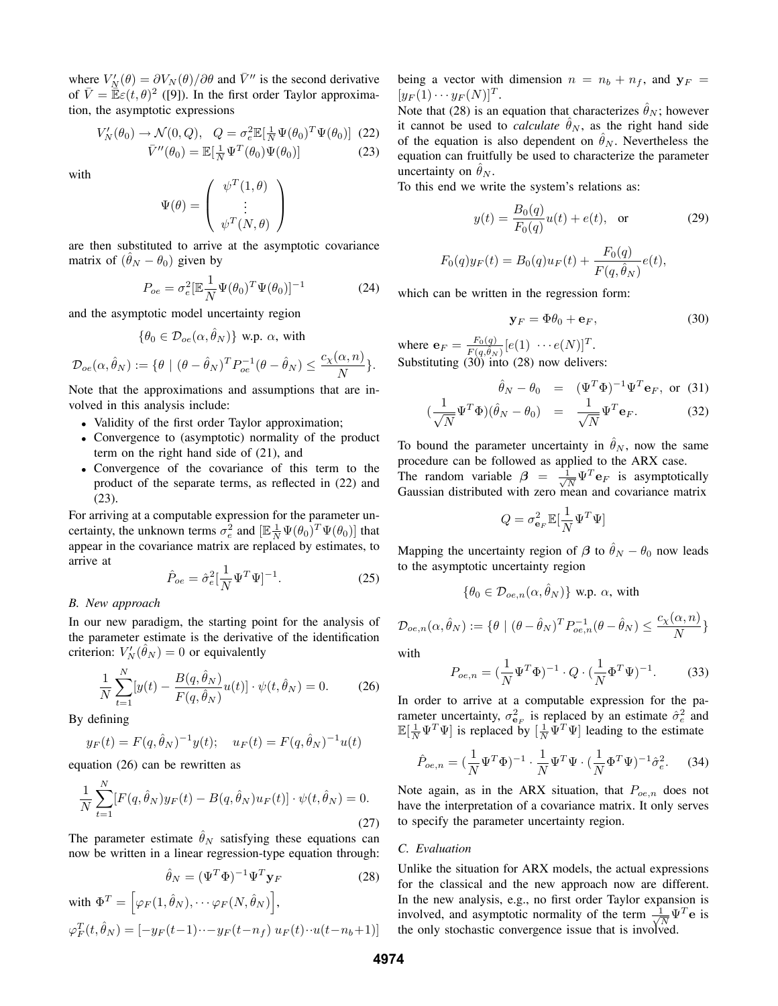where  $V'_N(\theta) = \partial V_N(\theta) / \partial \theta$  and  $\overline{V}''$  is the second derivative<br>of  $\overline{V} = \overline{\mathbb{F}} \varepsilon (t, \theta)^2$  ([9]). In the first order Taylor approximaof  $\overline{V} = \overline{\mathbb{E}} \varepsilon(t, \theta)^2$  ([9]). In the first order Taylor approximation, the asymptotic expressions

$$
V_N'(\theta_0) \to \mathcal{N}(0, Q), \quad Q = \sigma_e^2 \mathbb{E}[\frac{1}{N} \Psi(\theta_0)^T \Psi(\theta_0)] \quad (22)
$$

$$
\bar{V}''(\theta_0) = \mathbb{E}[\frac{1}{N} \Psi^T(\theta_0) \Psi(\theta_0)] \quad (23)
$$

with

$$
\Psi(\theta) = \begin{pmatrix} \psi^T(1,\theta) \\ \vdots \\ \psi^T(N,\theta) \end{pmatrix}
$$

are then substituted to arrive at the asymptotic covariance matrix of  $(\hat{\theta}_N - \theta_0)$  given by

$$
P_{oe} = \sigma_e^2 [\mathbb{E}\frac{1}{N}\Psi(\theta_0)^T\Psi(\theta_0)]^{-1}
$$
 (24)  
and the asymptotic model uncertainty region

$$
\{\theta_0 \in \mathcal{D}_{oe}(\alpha, \hat{\theta}_N)\} \text{ w.p. } \alpha \text{, with}
$$

$$
\mathcal{D}_{oe}(\alpha, \hat{\theta}_N) := \{ \theta \mid (\theta - \hat{\theta}_N)^T P_{oe}^{-1} (\theta - \hat{\theta}_N) \le \frac{c_\chi(\alpha, n)}{N} \}.
$$
  
Note that the approximations and assumptions that are in-

volved in this analysis include:

- Validity of the first order Taylor approximation;
- Convergence to (asymptotic) normality of the product term on the right hand side of (21), and
- Convergence of the covariance of this term to the product of the separate terms, as reflected in (22) and (23).

For arriving at a computable expression for the parameter uncertainty, the unknown terms  $\sigma_e^2$  and  $\left[\mathbb{E}^{\frac{1}{N}}\Psi(\theta_0)^T\Psi(\theta_0)\right]$  that appear in the covariance matrix are replaced by estimates, to arrive at

$$
\hat{P}_{oe} = \hat{\sigma}_e^2 [\frac{1}{N} \Psi^T \Psi]^{-1}.
$$
\n(25)

#### *B. New approach*

In our new paradigm, the starting point for the analysis of the parameter estimate is the derivative of the identification criterion:  $V_N'(\hat{\theta}_N) = 0$  or equivalently

$$
\frac{1}{N} \sum_{t=1}^{N} [y(t) - \frac{B(q, \hat{\theta}_N)}{F(q, \hat{\theta}_N)} u(t)] \cdot \psi(t, \hat{\theta}_N) = 0.
$$
 (26)

By defining

$$
y_F(t) = F(q, \hat{\theta}_N)^{-1}y(t);
$$
  $u_F(t) = F(q, \hat{\theta}_N)^{-1}u(t)$ 

equation (26) can be rewritten as

$$
\frac{1}{N} \sum_{t=1}^{N} [F(q, \hat{\theta}_N) y_F(t) - B(q, \hat{\theta}_N) u_F(t)] \cdot \psi(t, \hat{\theta}_N) = 0.
$$
\n(27)

The parameter estimate  $\hat{\theta}_N$  satisfying these equations can now be written in a linear regression-type equation through:

$$
\hat{\theta}_N = (\Psi^T \Phi)^{-1} \Psi^T \mathbf{y}_F
$$
\n(28)

with 
$$
\Phi^T = \left[\varphi_F(1, \hat{\theta}_N), \cdots \varphi_F(N, \hat{\theta}_N)\right],
$$
  
 $\varphi_F^T(t, \hat{\theta}_N) = \left[-y_F(t-1)\cdots -y_F(t-n_f) u_F(t)\cdots u(t-n_b+1)\right]$ 

being a vector with dimension  $n = n_b + n_f$ , and  $y_F$  $[y_F(1)\cdots y_F(N)]^T$ .

Note that (28) is an equation that characterizes  $\hat{\theta}_N$ ; however it cannot be used to *calculate*  $\hat{\theta}_N$ , as the right hand side of the equation is also dependent on  $\hat{\theta}_N$ . Nevertheless the equation can fruitfully be used to characterize the parameter uncertainty on  $\theta_N$ .

To this end we write the system's relations as:

$$
y(t) = \frac{B_0(q)}{F_0(q)}u(t) + e(t), \text{ or } (29)
$$

$$
F_0(q)y_F(t) = B_0(q)u_F(t) + \frac{F_0(q)}{F(q, \hat{\theta}_N)}e(t),
$$

which can be written in the regression form:

$$
\mathbf{y}_F = \Phi \theta_0 + \mathbf{e}_F, \tag{30}
$$

where  $\mathbf{e}_F = \frac{F_0(q)}{F(q, \hat{\theta}_N)} [e(1) \cdots e(N)]^T$ .<br>Substituting (30) into (28) now delivers:

$$
\hat{\theta}_N - \theta_0 = (\Psi^T \Phi)^{-1} \Psi^T \mathbf{e}_F, \text{ or } (31)
$$

$$
\left(\frac{1}{\sqrt{N}}\Psi^T\Phi\right)(\hat{\theta}_N-\theta_0) = \frac{1}{\sqrt{N}}\Psi^T\mathbf{e}_F.
$$
 (32)

To bound the parameter uncertainty in  $\hat{\theta}_N$ , now the same procedure can be followed as applied to the ARX case. The random variable  $\beta = \frac{1}{\sqrt{N}} \Psi^T \mathbf{e}_F$  is asymptotically<br>Gaussian distributed with zero man and covariance matrix Gaussian distributed with zero mean and covariance matrix

$$
Q = \sigma_{\mathbf{e}_F}^2 \mathbb{E}[\frac{1}{N} \Psi^T \Psi]
$$

Mapping the uncertainty region of  $\beta$  to  $\hat{\theta}_N - \theta_0$  now leads to the asymptotic uncertainty region to the asymptotic uncertainty region

$$
\{\theta_0 \in \mathcal{D}_{oe,n}(\alpha, \hat{\theta}_N)\} \text{ w.p. } \alpha \text{, with}
$$

$$
\mathcal{D}_{oe,n}(\alpha, \hat{\theta}_N) := \{ \theta \mid (\theta - \hat{\theta}_N)^T P_{oe,n}^{-1} (\theta - \hat{\theta}_N) \le \frac{c_\chi(\alpha, n)}{N} \}
$$

with

$$
P_{oe,n} = (\frac{1}{N} \Psi^T \Phi)^{-1} \cdot Q \cdot (\frac{1}{N} \Phi^T \Psi)^{-1}.
$$
 (33)

In order to arrive at a computable expression for the parameter uncertainty,  $\sigma_{e_F}^2$  is replaced by an estimate  $\hat{\sigma}_e^2$  and  $\mathbb{F}[\pm \Psi^T \Psi]$  is replaced by  $[\pm \Psi^T \Psi]$  leading to the estimate  $\mathbb{E}[\frac{1}{N}\Psi^T\Psi]$  is replaced by  $[\frac{1}{N}\overline{\Psi}^T\Psi]$  leading to the estimate

$$
\hat{P}_{oe,n} = (\frac{1}{N} \Psi^T \Phi)^{-1} \cdot \frac{1}{N} \Psi^T \Psi \cdot (\frac{1}{N} \Phi^T \Psi)^{-1} \hat{\sigma}_e^2.
$$
 (34)

Note again, as in the ARX situation, that  $P_{oe,n}$  does not have the interpretation of a covariance matrix. It only serves have the interpretation of a covariance matrix. It only serves to specify the parameter uncertainty region.

#### *C. Evaluation*

Unlike the situation for ARX models, the actual expressions for the classical and the new approach now are different. In the new analysis, e.g., no first order Taylor expansion is involved, and asymptotic normality of the term  $\frac{1}{\sqrt{N}} \Psi^T$ **e** is<br>the only stochastic convergence issue that is involved the only stochastic convergence issue that is involved.